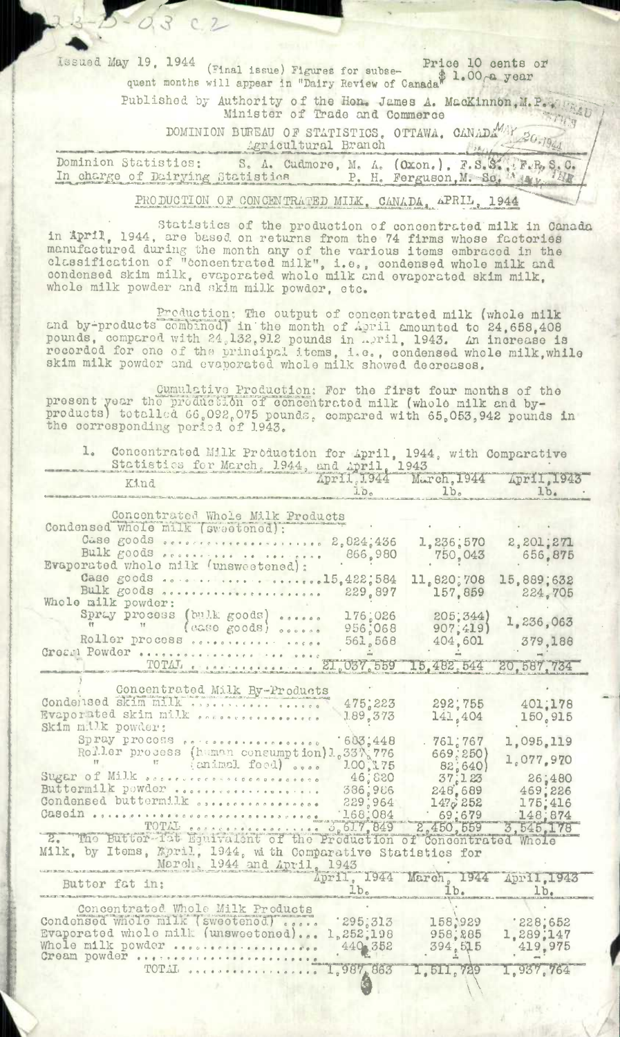Issued May 19, 1944 (Final issue) Figures for subse-Price 10 cents or quent months will appear in "Dairy Review of Canada" 1.00 a year Published by Authority of the Hon. James A. MacKinnon, M. P. W. Wab Minister of Trade and Commerce DOMINION BUREAU OF STATISTICS, OTTAWA, CANADAMAY 20.1944 Agricultural Branch S. A. Cudmore, M. A. (Oxon.), F.S.S. F.R. S.C. Dominion Statistics: In charge of Dairying Statistics

 $-0.3$  c.2

PRODUCTION OF CONCENTRATED MILK, CANADA, APRIL, 1944

statistics of the production of concentrated milk in Canada in April, 1944, are based on returns from the 74 firms whose factories manufactured during the month any of the various items embraced in the classification of "concentrated milk", i.e., condensed whole milk and condensed skim milk, evaporated whole milk and evaporated skim milk, whole milk powder and skim milk powder, etc.

Production: The output of concentrated milk (whole milk<br>cnd by-products combined) in the month of April amounted to 24,658,408<br>pounds, compared with 24,132,912 pounds in April, 1943. An increase is<br>recorded for one of the

Cumulative Production: For the first four months of the present year the production of concentrated milk (whole milk and by-<br>products) totalled 66,092,075 pounds, compared with 65,053,942 pounds in<br>the corresponding poriod

| $\perp$<br>Concentrated Milk Production for April, 1944, with Comparative<br>Statistics for March, 1944, and April, 1943 |                          |                                                        |                    |  |  |  |
|--------------------------------------------------------------------------------------------------------------------------|--------------------------|--------------------------------------------------------|--------------------|--|--|--|
| Kind                                                                                                                     | $\overline{100}$         | April, 1944 March, 1944 April, 1943<br>1b <sub>o</sub> | 1b.                |  |  |  |
|                                                                                                                          |                          |                                                        |                    |  |  |  |
| Concentrated Whole Milk Products<br>Condensed whole milk (sweetened):                                                    |                          |                                                        |                    |  |  |  |
|                                                                                                                          |                          | 1,236,570                                              | 2,201,271          |  |  |  |
| Bulk goods occasions to the person                                                                                       | 866,980                  | 750,043                                                | 656,875            |  |  |  |
| Evaporated whole milk (unsweetened):                                                                                     |                          |                                                        |                    |  |  |  |
| Case goods 15,422;584                                                                                                    |                          | 11,820,708                                             | 15,889;632         |  |  |  |
| Bulk goods necessaries                                                                                                   | 229,897                  | 157,859                                                | 224,705            |  |  |  |
| Whole milk powder:<br>Spray process (bulk goods)<br>0.00000                                                              |                          | 205;344)                                               |                    |  |  |  |
| (case goods) occose                                                                                                      | 176,026<br>956;068       | 907, 419                                               | 1,236,063          |  |  |  |
| Roller process                                                                                                           | 561,568                  | 404,601                                                | 379,188            |  |  |  |
| Crozel Powder                                                                                                            |                          |                                                        |                    |  |  |  |
| TOTAL 21,037,559 15,482,544                                                                                              |                          |                                                        | 20.587.734         |  |  |  |
|                                                                                                                          |                          |                                                        |                    |  |  |  |
| Concentrated Milk By-Products<br>Condeilsed skim milk                                                                    |                          |                                                        |                    |  |  |  |
| Evaporated skim milk                                                                                                     | 475,223<br>1.89, 373     | 292;755                                                | 401.178            |  |  |  |
| Skim millk powder:                                                                                                       |                          | 141,404                                                | 150,915            |  |  |  |
| Spray process corrective correction                                                                                      | 603,448                  | .761,767                                               | 1,095,119          |  |  |  |
| Roller process (human consumption) 1.33% 776                                                                             |                          | 669, 250)                                              | 1,077,970          |  |  |  |
| $-17$<br>(animal food)                                                                                                   | 100,175                  | 82,640                                                 |                    |  |  |  |
| Sugar of Milk occorrectivecoconocotoco                                                                                   | 46;880                   | 37:123                                                 | 26,480             |  |  |  |
| Buttermilk powder<br>Condensed buttermilk opencessages acces                                                             | 386,986<br>229,964       | 248,689                                                | 469,226            |  |  |  |
| Casein                                                                                                                   | 168,084                  | 1470252<br>.69,679                                     | 175,416<br>148.874 |  |  |  |
| TOTAL corrections 5, 61.7, 849                                                                                           |                          | 2,450,559                                              | 3.545.178          |  |  |  |
| 2. The Butter-fat Equivalent of the Production of Concentrated Whole                                                     |                          |                                                        |                    |  |  |  |
| Milk, by Items, Kpril, 1944, with Comparative Statistics for                                                             |                          |                                                        |                    |  |  |  |
| March, 1944 and April, 1943                                                                                              |                          |                                                        |                    |  |  |  |
| Butter fat in:                                                                                                           |                          | April, 1944 March, 1944 April, 1943                    |                    |  |  |  |
|                                                                                                                          | 1.b.                     |                                                        | 1b <sub>z</sub>    |  |  |  |
| Concentrated Whole Milk Products                                                                                         |                          |                                                        |                    |  |  |  |
| Condensed whole milk (sweetened)                                                                                         | 295,313                  | 158,929                                                | 228,652            |  |  |  |
| Evaporated whole milk (unsweetened)<br>Whole milk powder                                                                 | 1,252,198<br>$440 - 352$ | 958, 285                                               | 1,289,147          |  |  |  |
| Cream powder                                                                                                             |                          | 394,515                                                | 419.975            |  |  |  |
| TOTAL <i>soconnec</i>                                                                                                    | 1,987,863                | 1, 511, 729                                            | 1,937,764          |  |  |  |
|                                                                                                                          |                          |                                                        |                    |  |  |  |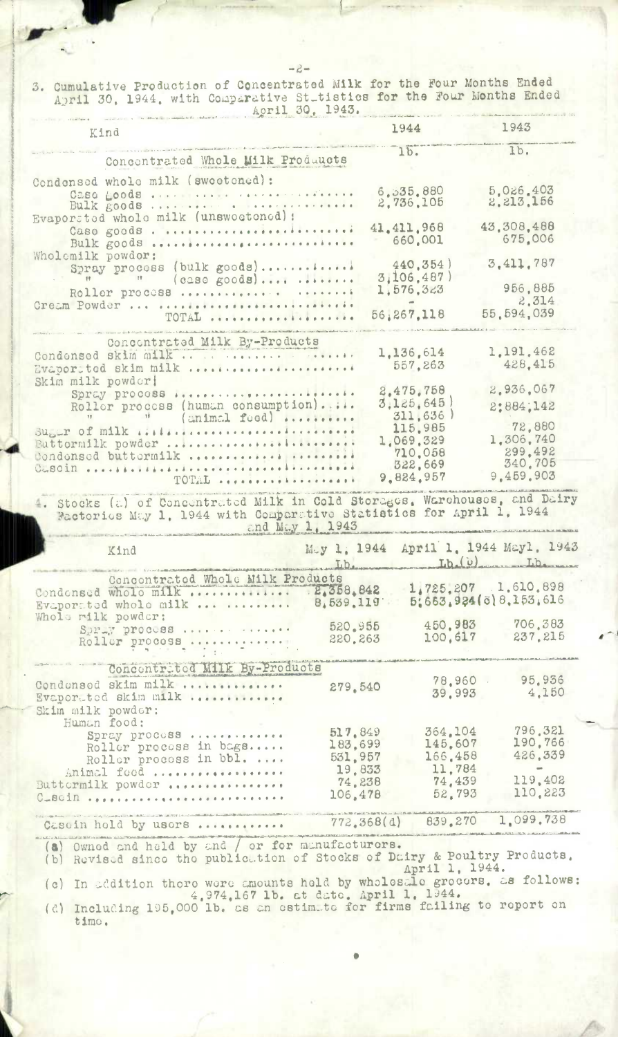$-2-$ 

3. Cumulative Production of Concentrated Milk for the Four Months Ended April 30, 1944, with Comparative St\_tistics for the Four Months Ended April 30, 1943.

| Kind                                                                                                                                                                        |                               | 1944                                       |                               | 1943                                                            |
|-----------------------------------------------------------------------------------------------------------------------------------------------------------------------------|-------------------------------|--------------------------------------------|-------------------------------|-----------------------------------------------------------------|
| Concentrated Whole Milk Produucts                                                                                                                                           |                               | $1\overline{b}$ .                          |                               | Ib.                                                             |
| Condensed whole milk (sweetened):<br>Caso goods                                                                                                                             |                               | 6.535.880<br>2,736,105                     |                               | 5.026.403<br>2.213.156                                          |
| Evaporsted whole milk (unswectoned) :<br>Caso goods<br>Bulk goods                                                                                                           |                               | 41, 411, 968<br>660,001                    |                               | 43,308.488<br>675,006                                           |
| Wholemilk powdor:<br>Spray process (bulk goods)<br>$(0.30 \text{ goods})$<br>Roller process                                                                                 |                               | 440,354)<br>3,106,487)<br>1,576,323        |                               | 3,411,787<br>956,885                                            |
| Gream Powder<br>TOTAL                                                                                                                                                       |                               | 56,267,118                                 |                               | 2,314<br>55, 594, 039                                           |
| Concentrated Milk By-Products<br>Condonsed skim milk<br>Evaported skim milk                                                                                                 |                               | 1,136,614<br>557.263                       |                               | 1,191,462<br>428.415                                            |
| Skim milk powder!<br>Spray procoss<br>Roller process (human consumption)<br>(animal food)                                                                                   |                               | 2.475.758<br>3,125,645<br>311.636          |                               | 2.936.067<br>2:884,142                                          |
| $\text{Supp } \text{ of } \text{mlk}$ iili<br>Buttormilk powder<br>Condonsed buttormilk                                                                                     |                               | 115.985<br>1.069.329<br>710.058<br>322,669 |                               | 72,880<br>1,306,740<br>299.492<br>340.705                       |
| TOTAL                                                                                                                                                                       |                               | 9.824.957                                  |                               | 9,459,903                                                       |
| 4. Stocks (a) of Concentrated Milk in Cold Storages, Warehouses, and Dairy<br>Factories May 1, 1944 with Comparative Statistics for April 1, 1944                           | and May 1, 1943               |                                            |                               |                                                                 |
| Kind                                                                                                                                                                        |                               |                                            |                               | May 1, 1944 April 1, 1944 Mayl, 1943<br>Lib. Lib. (U) Lib. Lib. |
| Concontrated Whole Milk Products<br>Condonsed whole milk<br>Evaporated whole milk                                                                                           | . 2,358,842<br>8,539,119      |                                            |                               | 1,725,207 1.610.898<br>5:663.924(ö) 8.153.616                   |
| Whole rilk powder:<br>Spray process<br>Roller process                                                                                                                       | 520.955<br>220.263            |                                            | 450.983<br>100.617            | 706.383<br>237.215                                              |
| Concontrited Milk By-Products<br>Condonsod skim milk<br>Evaporated skim milk<br>Skim milk powder:                                                                           | 279.540                       |                                            | 78.960.<br>39.993             | 95.936<br>4.150                                                 |
| Human food:<br>Spray process<br>Roller process in bags<br>Roller process in bbl.                                                                                            | 517.849<br>183,699<br>531,957 |                                            | 364.104<br>145.607<br>166.458 | 796.321<br>190.766<br>426.339                                   |
| Animal food<br>Buttermilk powder<br>$C = B \cdot 10$                                                                                                                        | 19,833<br>74.238<br>106,478   |                                            | 11.784<br>74,439<br>52.793    | 119,402<br>110.223                                              |
| Cascin hold by usors<br><b>A A F A A A A A A A A</b><br><u> 2005 : Alice des anticipales academientes aproxides incomponentes de componentes academientes aproxidentes </u> |                               | 772.368(d)                                 | 839.270                       | 1.099.738                                                       |
|                                                                                                                                                                             |                               |                                            |                               |                                                                 |

(a) Owned and held by and / or for manufacturors.<br>
(b) Revised since the publication of Stocks of Dairy & Poultry Products.<br>
April 1, 1944.

(c) In addition there were amounts held by wholesale grocers. as follows:<br>4,974,167 lb. at date. April 1, 1944.<br>(d) Including 195,000 lb. as an estimate for firms failing to report on

timo.